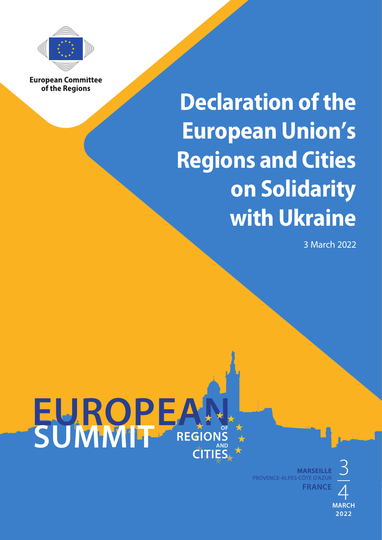

**European Committee** of the Regions

## **Declaration of the European Union's Regions and Cities on Solidarity with Ukraine**

3 March 2022



**MARSEILLE FRANCE** 3 4 PROVENCE-ALPES-CÔTE D'AZUR

**MARCH 2022**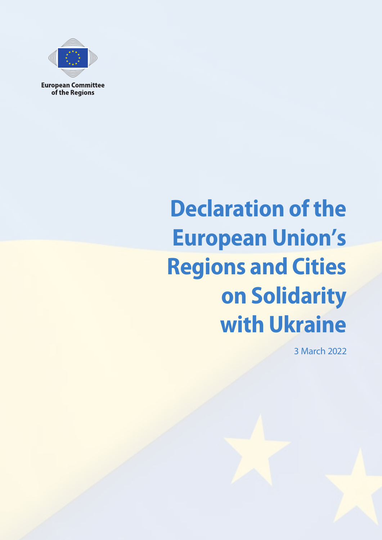

**European Committee** of the Regions

## **Declaration of the European Union's Regions and Cities on Solidarity with Ukraine**

3 March 2022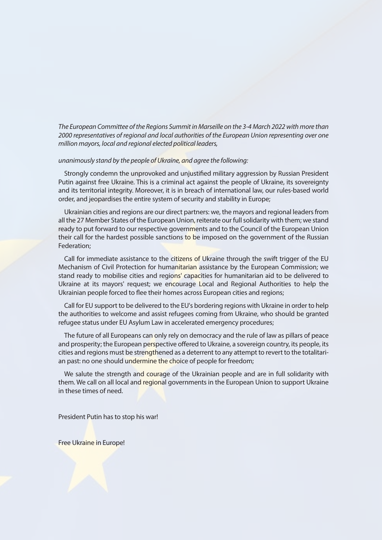*The European Committee of the Regions Summit in Marseille on the 3-4 March 2022 with more than 2000 representatives of regional and local authorities of the European Union representing over one million mayors, local and regional elected political leaders,* 

## *unanimously stand by the people of Ukraine, and agree the following:*

Strongly condemn the unprovoked and unjustified military aggression by Russian President Putin against free Ukraine. This is a criminal act against the people of Ukraine, its sovereignty and its territorial integrity. Moreover, it is in breach of international law, our rules-based world order, and jeopardises the entire system of security and stability in Europe;

Ukrainian cities and regions are our direct partners: we, the mayors and regional leaders from all the 27 Member States of the European Union, reiterate our full solidarity with them; we stand ready to put forward to our respective governments and to the Council of the European Union their call for the hardest possible sanctions to be imposed on the government of the Russian Federation;

Call for immediate assistance to the citizens of Ukraine through the swift trigger of the EU Mechanism of Civil Protection for humanitarian assistance by the European Commission; we stand ready to mobilise cities and regions' capacities for humanitarian aid to be delivered to Ukraine at its mayors' request; we encourage Local and Regional Authorities to help the Ukrainian people forced to flee their homes across European cities and regions;

Call for EU support to be delivered to the EU's bordering regions with Ukraine in order to help the authorities to welcome and assist refugees coming from Ukraine, who should be granted refugee status under EU Asylum Law in accelerated emergency procedures;

The future of all Europeans can only rely on democracy and the rule of law as pillars of peace and prosperity; the European perspective offered to Ukraine, a sovereign country, its people, its cities and regions must be strengthened as a deterrent to any attempt to revert to the totalitarian past: no one should undermine the choice of people for freedom;

We salute the strength and courage of the Ukrainian people and are in full solidarity with them. We call on all local and regional governments in the European Union to support Ukraine in these times of need.

President Putin has to stop his war!

Free Ukraine in Europe!